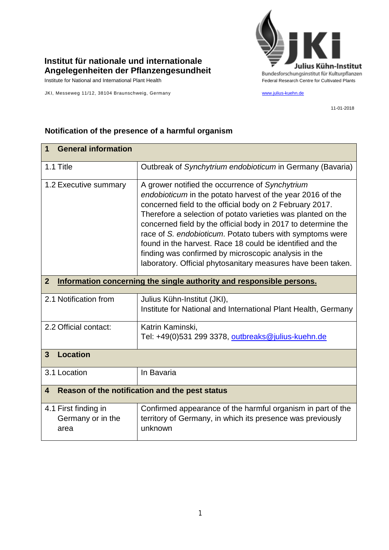

## **Institut für nationale und internationale Angelegenheiten der Pflanzengesundheit**

JKI, Messeweg 11/12, 38104 Braunschweig, Germany [www.julius-kuehn.de](http://www.julius-kuehn.de/)

11-01-2018

| <b>General information</b><br>1                                                        |                                                                                                                                                                                                                                                                                                                                                                                                                                                                                                                                                              |  |
|----------------------------------------------------------------------------------------|--------------------------------------------------------------------------------------------------------------------------------------------------------------------------------------------------------------------------------------------------------------------------------------------------------------------------------------------------------------------------------------------------------------------------------------------------------------------------------------------------------------------------------------------------------------|--|
| 1.1 Title                                                                              | Outbreak of Synchytrium endobioticum in Germany (Bavaria)                                                                                                                                                                                                                                                                                                                                                                                                                                                                                                    |  |
| 1.2 Executive summary                                                                  | A grower notified the occurrence of Synchytrium<br>endobioticum in the potato harvest of the year 2016 of the<br>concerned field to the official body on 2 February 2017.<br>Therefore a selection of potato varieties was planted on the<br>concerned field by the official body in 2017 to determine the<br>race of S. endobioticum. Potato tubers with symptoms were<br>found in the harvest. Race 18 could be identified and the<br>finding was confirmed by microscopic analysis in the<br>laboratory. Official phytosanitary measures have been taken. |  |
| $\overline{2}$<br>Information concerning the single authority and responsible persons. |                                                                                                                                                                                                                                                                                                                                                                                                                                                                                                                                                              |  |
| 2.1 Notification from                                                                  | Julius Kühn-Institut (JKI),<br>Institute for National and International Plant Health, Germany                                                                                                                                                                                                                                                                                                                                                                                                                                                                |  |
| 2.2 Official contact:                                                                  | Katrin Kaminski,<br>Tel: +49(0)531 299 3378, outbreaks@julius-kuehn.de                                                                                                                                                                                                                                                                                                                                                                                                                                                                                       |  |
| <b>Location</b><br>3                                                                   |                                                                                                                                                                                                                                                                                                                                                                                                                                                                                                                                                              |  |
| 3.1 Location                                                                           | In Bavaria                                                                                                                                                                                                                                                                                                                                                                                                                                                                                                                                                   |  |
| Reason of the notification and the pest status<br>$\overline{4}$                       |                                                                                                                                                                                                                                                                                                                                                                                                                                                                                                                                                              |  |
| 4.1 First finding in<br>Germany or in the<br>area                                      | Confirmed appearance of the harmful organism in part of the<br>territory of Germany, in which its presence was previously<br>unknown                                                                                                                                                                                                                                                                                                                                                                                                                         |  |

## **Notification of the presence of a harmful organism**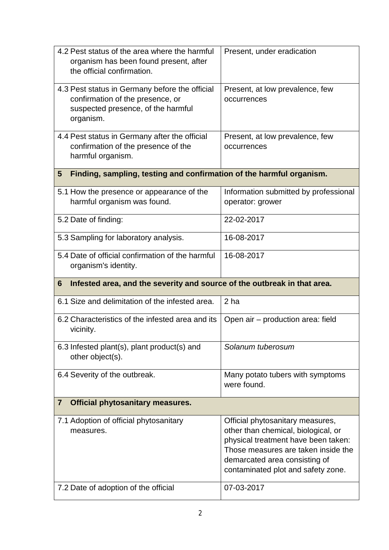| 4.2 Pest status of the area where the harmful<br>organism has been found present, after<br>the official confirmation.                 | Present, under eradication                                                                                                                                                                                                                 |  |  |
|---------------------------------------------------------------------------------------------------------------------------------------|--------------------------------------------------------------------------------------------------------------------------------------------------------------------------------------------------------------------------------------------|--|--|
| 4.3 Pest status in Germany before the official<br>confirmation of the presence, or<br>suspected presence, of the harmful<br>organism. | Present, at low prevalence, few<br>occurrences                                                                                                                                                                                             |  |  |
| 4.4 Pest status in Germany after the official<br>confirmation of the presence of the<br>harmful organism.                             | Present, at low prevalence, few<br>occurrences                                                                                                                                                                                             |  |  |
| Finding, sampling, testing and confirmation of the harmful organism.<br>5                                                             |                                                                                                                                                                                                                                            |  |  |
| 5.1 How the presence or appearance of the<br>harmful organism was found.                                                              | Information submitted by professional<br>operator: grower                                                                                                                                                                                  |  |  |
| 5.2 Date of finding:                                                                                                                  | 22-02-2017                                                                                                                                                                                                                                 |  |  |
| 5.3 Sampling for laboratory analysis.                                                                                                 | 16-08-2017                                                                                                                                                                                                                                 |  |  |
| 5.4 Date of official confirmation of the harmful<br>organism's identity.                                                              | 16-08-2017                                                                                                                                                                                                                                 |  |  |
|                                                                                                                                       |                                                                                                                                                                                                                                            |  |  |
| Infested area, and the severity and source of the outbreak in that area.<br>6                                                         |                                                                                                                                                                                                                                            |  |  |
| 6.1 Size and delimitation of the infested area.                                                                                       | 2 <sub>ha</sub>                                                                                                                                                                                                                            |  |  |
| 6.2 Characteristics of the infested area and its<br>vicinity.                                                                         | Open air - production area: field                                                                                                                                                                                                          |  |  |
| 6.3 Infested plant(s), plant product(s) and<br>other object(s).                                                                       | Solanum tuberosum                                                                                                                                                                                                                          |  |  |
| 6.4 Severity of the outbreak.                                                                                                         | Many potato tubers with symptoms<br>were found.                                                                                                                                                                                            |  |  |
| <b>Official phytosanitary measures.</b><br>$\overline{\mathbf{7}}$                                                                    |                                                                                                                                                                                                                                            |  |  |
| 7.1 Adoption of official phytosanitary<br>measures.<br>7.2 Date of adoption of the official                                           | Official phytosanitary measures,<br>other than chemical, biological, or<br>physical treatment have been taken:<br>Those measures are taken inside the<br>demarcated area consisting of<br>contaminated plot and safety zone.<br>07-03-2017 |  |  |